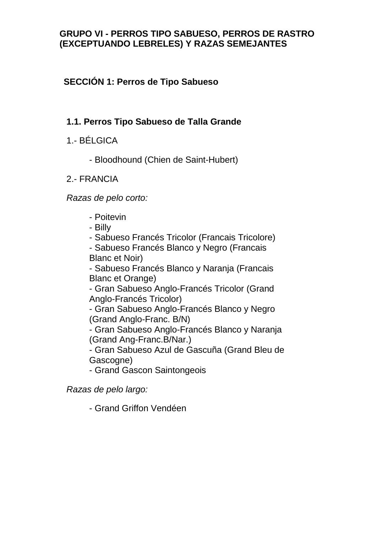#### **GRUPO VI - PERROS TIPO SABUESO, PERROS DE RASTRO (EXCEPTUANDO LEBRELES) Y RAZAS SEMEJANTES**

# **SECCIÓN 1: Perros de Tipo Sabueso**

# **1.1. Perros Tipo Sabueso de Talla Grande**

- 1.- BÉLGICA
	- Bloodhound (Chien de Saint-Hubert)

## 2.- FRANCIA

*Razas de pelo corto:*

- Poitevin
- Billy
- Sabueso Francés Tricolor (Francais Tricolore)

- Sabueso Francés Blanco y Negro (Francais Blanc et Noir)

- Sabueso Francés Blanco y Naranja (Francais Blanc et Orange)

- Gran Sabueso Anglo-Francés Tricolor (Grand Anglo-Francés Tricolor)

- Gran Sabueso Anglo-Francés Blanco y Negro (Grand Anglo-Franc. B/N)

- Gran Sabueso Anglo-Francés Blanco y Naranja (Grand Ang-Franc.B/Nar.)

- Gran Sabueso Azul de Gascuña (Grand Bleu de Gascogne)

- Grand Gascon Saintongeois

*Razas de pelo largo:*

- Grand Griffon Vendéen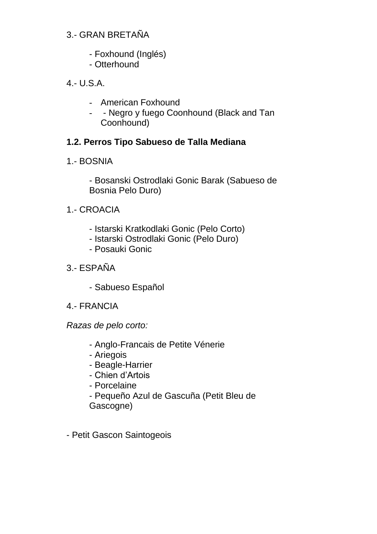## 3.- GRAN BRETAÑA

- Foxhound (Inglés)
- Otterhound

4.- U.S.A.

- American Foxhound
- - Negro y fuego Coonhound (Black and Tan Coonhound)

# **1.2. Perros Tipo Sabueso de Talla Mediana**

1.- BOSNIA

- Bosanski Ostrodlaki Gonic Barak (Sabueso de Bosnia Pelo Duro)

- 1.- CROACIA
	- Istarski Kratkodlaki Gonic (Pelo Corto)
	- Istarski Ostrodlaki Gonic (Pelo Duro)
	- Posauki Gonic
- 3.- ESPAÑA
	- Sabueso Español
- 4.- FRANCIA

*Razas de pelo corto:*

- Anglo-Francais de Petite Vénerie
- Ariegois
- Beagle-Harrier
- Chien d'Artois
- Porcelaine
- Pequeño Azul de Gascuña (Petit Bleu de Gascogne)
- Petit Gascon Saintogeois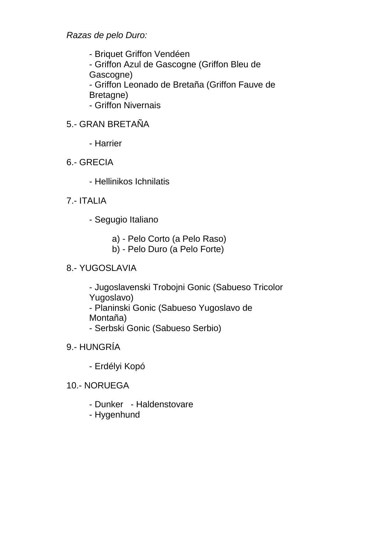*Razas de pelo Duro:*

- Briquet Griffon Vendéen - Griffon Azul de Gascogne (Griffon Bleu de Gascogne) - Griffon Leonado de Bretaña (Griffon Fauve de Bretagne)

- Griffon Nivernais

## 5.- GRAN BRETAÑA

- Harrier
- 6.- GRECIA
	- Hellinikos Ichnilatis
- 7.- ITALIA
	- Segugio Italiano
		- a) Pelo Corto (a Pelo Raso)
		- b) Pelo Duro (a Pelo Forte)

# 8.- YUGOSLAVIA

- Jugoslavenski Trobojni Gonic (Sabueso Tricolor Yugoslavo)
- Planinski Gonic (Sabueso Yugoslavo de Montaña)
- Serbski Gonic (Sabueso Serbio)
- 9.- HUNGRÍA
	- Erdélyi Kopó
- 10.- NORUEGA
	- Dunker Haldenstovare
	- Hygenhund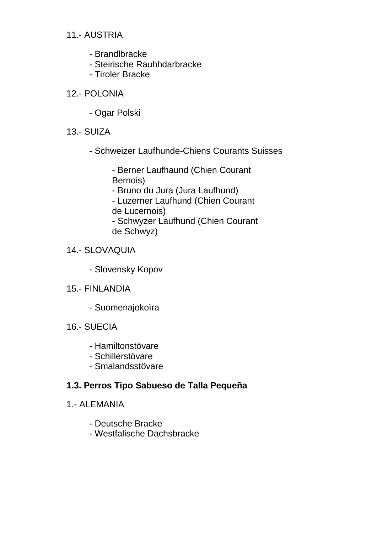## 11.- AUSTRIA

- Brandlbracke
- Steirische Rauhhdarbracke
- Tiroler Bracke
- 12.- POLONIA
	- Ogar Polski
- 13.- SUIZA
	- Schweizer Laufhunde-Chiens Courants Suisses

- Berner Laufhaund (Chien Courant Bernois)

- Bruno du Jura (Jura Laufhund)

- Luzerner Laufhund (Chien Courant de Lucernois)

- Schwyzer Laufhund (Chien Courant de Schwyz)

#### 14.- SLOVAQUIA

- Slovensky Kopov
- 15.- FINLANDIA
	- Suomenajokoïra
- 16.- SUECIA
	- Hamiltonstövare
	- Schillerstövare
	- Smalandsstövare

# **1.3. Perros Tipo Sabueso de Talla Pequeña**

- 1.- ALEMANIA
	- Deutsche Bracke
	- Westfalische Dachsbracke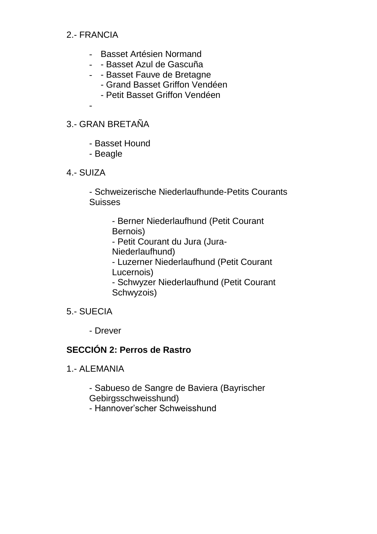#### 2.- FRANCIA

-

- Basset Artésien Normand
- - Basset Azul de Gascuña
- - Basset Fauve de Bretagne
	- Grand Basset Griffon Vendéen
	- Petit Basset Griffon Vendéen

#### 3.- GRAN BRETAÑA

- Basset Hound
- Beagle
- 4.- SUIZA

- Schweizerische Niederlaufhunde-Petits Courants Suisses

> - Berner Niederlaufhund (Petit Courant Bernois)

- Petit Courant du Jura (Jura-Niederlaufhund)

- Luzerner Niederlaufhund (Petit Courant Lucernois)

- Schwyzer Niederlaufhund (Petit Courant Schwyzois)

- 5.- SUECIA
	- Drever

#### **SECCIÓN 2: Perros de Rastro**

1.- ALEMANIA

- Sabueso de Sangre de Baviera (Bayrischer Gebirgsschweisshund)

- Hannover'scher Schweisshund